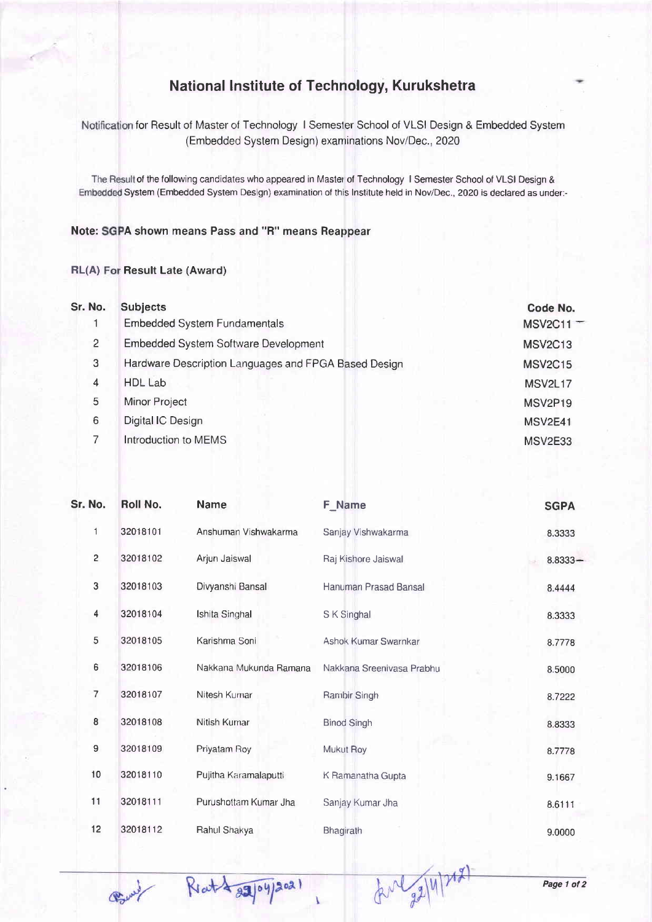## National Institute of Technology, Kurukshetra

Notification for Result of Master of Technology I Semester School of VLSI Design & Embedded System (Embedded System Design) examinations Nov/Dec., 2020

The Result of the following candidates who appeared in Master of Technology I Semester School of VLSI Design & Embedded System (Embedded System Design) examination of this Institute held in Nov/Dec., 2020 is declared as under:-

## Note: SGPA shown means Pass and "R" means Reappear

## RL(A) For Result Late (Award)

| Sr. No.        | <b>Subjects</b>                                      | Code No.       |
|----------------|------------------------------------------------------|----------------|
|                | <b>Embedded System Fundamentals</b>                  | $MSV2C11 -$    |
| $\overline{2}$ | <b>Embedded System Software Development</b>          | <b>MSV2C13</b> |
| 3              | Hardware Description Languages and FPGA Based Design | <b>MSV2C15</b> |
| 4              | <b>HDL Lab</b>                                       | <b>MSV2L17</b> |
| 5              | Minor Project                                        | <b>MSV2P19</b> |
| 6              | Digital IC Design                                    | MSV2E41        |
|                | Introduction to MEMS                                 | MSV2E33        |
|                |                                                      |                |

| Sr. No.        | <b>Roll No.</b>                        | <b>Name</b>                            | <b>F</b> Name                                | <b>SGPA</b>          |
|----------------|----------------------------------------|----------------------------------------|----------------------------------------------|----------------------|
| $\mathbf{1}$   | 32018101                               | Anshuman Vishwakarma                   | Sanjay Vishwakarma                           | 8.3333               |
| $\overline{c}$ | 32018102                               | Arjun Jaiswal<br>Divyanshi Bansal      | Raj Kishore Jaiswal<br>Hanuman Prasad Bansal | $8.8333 -$<br>8.4444 |
| $\mathbf{3}$   | 32018103                               |                                        |                                              |                      |
| 4              | 32018104                               | Ishita Singhal                         | S K Singhal                                  | 8.3333               |
| 5              | 32018105                               | Karishma Soni                          | Ashok Kumar Swarnkar                         | 8.7778               |
| 6              | 32018106<br>$\overline{7}$<br>32018107 | Nakkana Mukunda Ramana<br>Nitesh Kumar | Nakkana Sreenivasa Prabhu<br>Rambir Singh    | 8.5000<br>8.7222     |
|                |                                        |                                        |                                              |                      |
| 8              | 32018108                               | Nitish Kumar                           | <b>Binod Singh</b>                           | 8.8333               |
| 9              | 32018109                               | Priyatam Roy                           | Mukut Roy                                    | 8.7778               |
| 10             | 32018110                               | Pujitha Karamalaputti                  | K Ramanatha Gupta                            | 9.1667               |
| 11             | 32018111                               | Purushottam Kumar Jha                  | Sanjay Kumar Jha                             | 8.6111               |
| 12             | 32018112                               | Rahul Shakya                           | Bhagirath                                    | 9.0000               |

forl 22/4/2021

Bury

Ratt 2104/2021